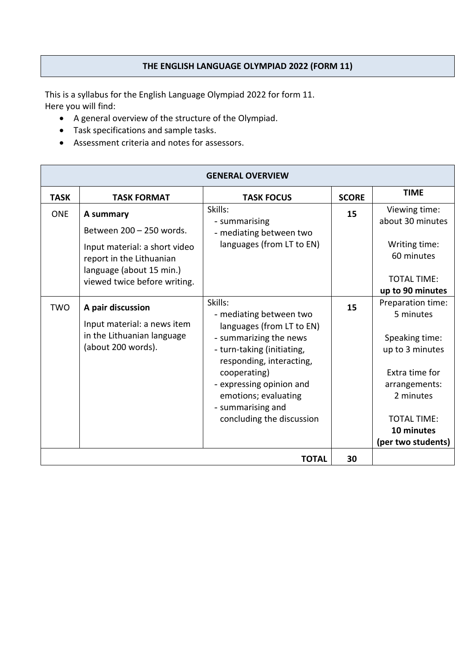### **THE ENGLISH LANGUAGE OLYMPIAD 2022 (FORM 11)**

This is a syllabus for the English Language Olympiad 2022 for form 11. Here you will find:

- A general overview of the structure of the Olympiad.
- Task specifications and sample tasks.
- Assessment criteria and notes for assessors.

| <b>GENERAL OVERVIEW</b> |                                                                                                                                                                |                                                                                                                                                                                                                                                                           |              |                                                                                                                                                                                                   |  |  |
|-------------------------|----------------------------------------------------------------------------------------------------------------------------------------------------------------|---------------------------------------------------------------------------------------------------------------------------------------------------------------------------------------------------------------------------------------------------------------------------|--------------|---------------------------------------------------------------------------------------------------------------------------------------------------------------------------------------------------|--|--|
| <b>TASK</b>             | <b>TASK FORMAT</b>                                                                                                                                             | <b>TASK FOCUS</b>                                                                                                                                                                                                                                                         | <b>SCORE</b> | <b>TIME</b>                                                                                                                                                                                       |  |  |
| <b>ONE</b>              | A summary<br>Between 200 - 250 words.<br>Input material: a short video<br>report in the Lithuanian<br>language (about 15 min.)<br>viewed twice before writing. | Skills:<br>- summarising<br>- mediating between two<br>languages (from LT to EN)                                                                                                                                                                                          | 15           | Viewing time:<br>about 30 minutes<br>Writing time:<br>60 minutes<br><b>TOTAL TIME:</b>                                                                                                            |  |  |
| <b>TWO</b>              | A pair discussion<br>Input material: a news item<br>in the Lithuanian language<br>(about 200 words).                                                           | Skills:<br>- mediating between two<br>languages (from LT to EN)<br>- summarizing the news<br>- turn-taking (initiating,<br>responding, interacting,<br>cooperating)<br>- expressing opinion and<br>emotions; evaluating<br>- summarising and<br>concluding the discussion | 15           | up to 90 minutes<br>Preparation time:<br>5 minutes<br>Speaking time:<br>up to 3 minutes<br>Extra time for<br>arrangements:<br>2 minutes<br><b>TOTAL TIME:</b><br>10 minutes<br>(per two students) |  |  |
|                         |                                                                                                                                                                | 30                                                                                                                                                                                                                                                                        |              |                                                                                                                                                                                                   |  |  |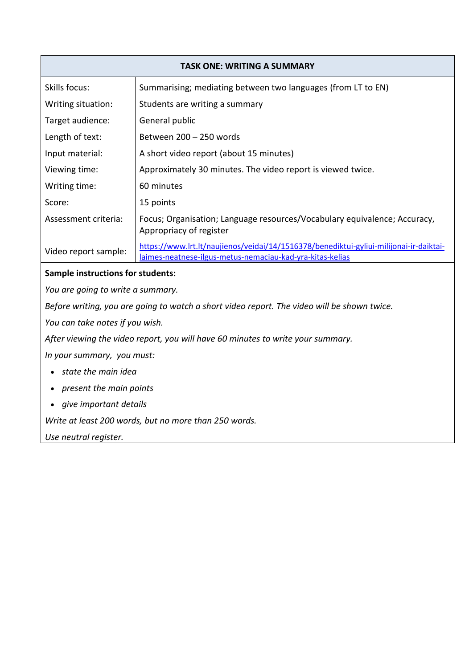| <b>TASK ONE: WRITING A SUMMARY</b>                                                          |                                                                                                                                                     |  |  |  |
|---------------------------------------------------------------------------------------------|-----------------------------------------------------------------------------------------------------------------------------------------------------|--|--|--|
| Skills focus:                                                                               | Summarising; mediating between two languages (from LT to EN)                                                                                        |  |  |  |
| Writing situation:                                                                          | Students are writing a summary                                                                                                                      |  |  |  |
| Target audience:                                                                            | General public                                                                                                                                      |  |  |  |
| Length of text:                                                                             | Between 200 - 250 words                                                                                                                             |  |  |  |
| Input material:                                                                             | A short video report (about 15 minutes)                                                                                                             |  |  |  |
| Viewing time:                                                                               | Approximately 30 minutes. The video report is viewed twice.                                                                                         |  |  |  |
| Writing time:                                                                               | 60 minutes                                                                                                                                          |  |  |  |
| Score:                                                                                      | 15 points                                                                                                                                           |  |  |  |
| Assessment criteria:                                                                        | Focus; Organisation; Language resources/Vocabulary equivalence; Accuracy,<br>Appropriacy of register                                                |  |  |  |
| Video report sample:                                                                        | https://www.lrt.lt/naujienos/veidai/14/1516378/benediktui-gyliui-milijonai-ir-daiktai-<br>laimes-neatnese-ilgus-metus-nemaciau-kad-yra-kitas-kelias |  |  |  |
| <b>Sample instructions for students:</b>                                                    |                                                                                                                                                     |  |  |  |
| You are going to write a summary.                                                           |                                                                                                                                                     |  |  |  |
| Before writing, you are going to watch a short video report. The video will be shown twice. |                                                                                                                                                     |  |  |  |
| You can take notes if you wish.                                                             |                                                                                                                                                     |  |  |  |
| After viewing the video report, you will have 60 minutes to write your summary.             |                                                                                                                                                     |  |  |  |
| In your summary, you must:                                                                  |                                                                                                                                                     |  |  |  |
| state the main idea                                                                         |                                                                                                                                                     |  |  |  |

- *present the main points*
- *give important details*

*Write at least 200 words, but no more than 250 words.*

*Use neutral register.*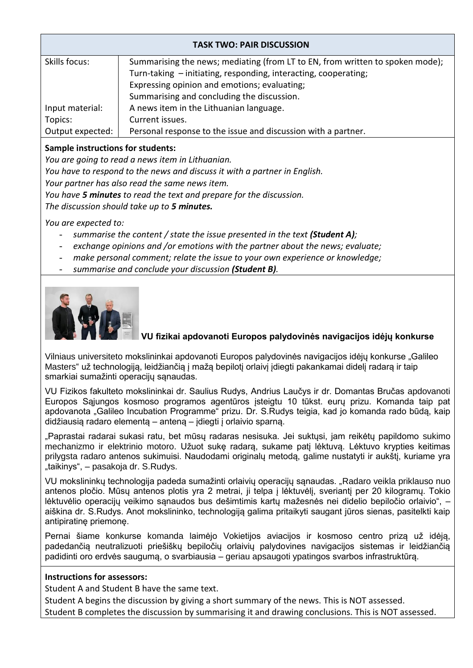| <b>TASK TWO: PAIR DISCUSSION</b>                                                               |                                                                 |  |  |  |  |
|------------------------------------------------------------------------------------------------|-----------------------------------------------------------------|--|--|--|--|
| Summarising the news; mediating (from LT to EN, from written to spoken mode);<br>Skills focus: |                                                                 |  |  |  |  |
|                                                                                                | Turn-taking - initiating, responding, interacting, cooperating; |  |  |  |  |
|                                                                                                | Expressing opinion and emotions; evaluating;                    |  |  |  |  |
|                                                                                                | Summarising and concluding the discussion.                      |  |  |  |  |
| Input material:                                                                                | A news item in the Lithuanian language.                         |  |  |  |  |
| Topics:                                                                                        | Current issues.                                                 |  |  |  |  |
| Output expected:                                                                               | Personal response to the issue and discussion with a partner.   |  |  |  |  |
|                                                                                                |                                                                 |  |  |  |  |

### **Sample instructions for students:**

*You are going to read a news item in Lithuanian.* 

*You have to respond to the news and discuss it with a partner in English.*

*Your partner has also read the same news item.* 

*You have 5 minutes to read the text and prepare for the discussion.*

*The discussion should take up to 5 minutes.*

*You are expected to:*

- *summarise the content / state the issue presented in the text (Student A);*
- *exchange opinions and /or emotions with the partner about the news; evaluate;*
- *make personal comment; relate the issue to your own experience or knowledge;*
- *summarise and conclude your discussion (Student B).*



## **VU fizikai apdovanoti Europos palydovinės navigacijos idėjų konkurse**

Vilniaus universiteto mokslininkai apdovanoti Europos palydovinės navigacijos idėjų konkurse "Galileo Masters" už technologiją, leidžiančią į mažą bepilotį orlaivį įdiegti pakankamai didelį radarą ir taip smarkiai sumažinti operacijų sąnaudas.

VU Fizikos fakulteto mokslininkai dr. Saulius Rudys, Andrius Laučys ir dr. Domantas Bručas apdovanoti Europos Sąjungos kosmoso programos agentūros įsteigtu 10 tūkst. eurų prizu. Komanda taip pat apdovanota "Galileo Incubation Programme" prizu. Dr. S.Rudys teigia, kad jo komanda rado būdą, kaip didžiausią radaro elementą – anteną – įdiegti į orlaivio sparną.

"Paprastai radarai sukasi ratu, bet mūsų radaras nesisuka. Jei suktųsi, jam reikėtų papildomo sukimo mechanizmo ir elektrinio motoro. Užuot sukę radarą, sukame patį lėktuvą. Lėktuvo krypties keitimas prilygsta radaro antenos sukimuisi. Naudodami originalų metodą, galime nustatyti ir aukštį, kuriame yra "taikinys", – pasakoja dr. S.Rudys.

VU mokslininkų technologija padeda sumažinti orlaivių operacijų sąnaudas. "Radaro veikla priklauso nuo antenos pločio. Mūsų antenos plotis yra 2 metrai, ji telpa į lėktuvėlį, sveriantį per 20 kilogramų. Tokio lėktuvėlio operacijų veikimo sąnaudos bus dešimtimis kartų mažesnės nei didelio bepiločio orlaivio", – aiškina dr. S.Rudys. Anot mokslininko, technologiją galima pritaikyti saugant jūros sienas, pasitelkti kaip antipiratinę priemonę.

Pernai šiame konkurse komanda laimėjo Vokietijos aviacijos ir kosmoso centro prizą už idėją, padedančią neutralizuoti priešiškų bepiločių orlaivių palydovines navigacijos sistemas ir leidžiančią padidinti oro erdvės saugumą, o svarbiausia – geriau apsaugoti ypatingos svarbos infrastruktūrą.

#### **Instructions for assessors:**

Student A and Student B have the same text.

Student A begins the discussion by giving a short summary of the news. This is NOT assessed. Student B completes the discussion by summarising it and drawing conclusions. This is NOT assessed.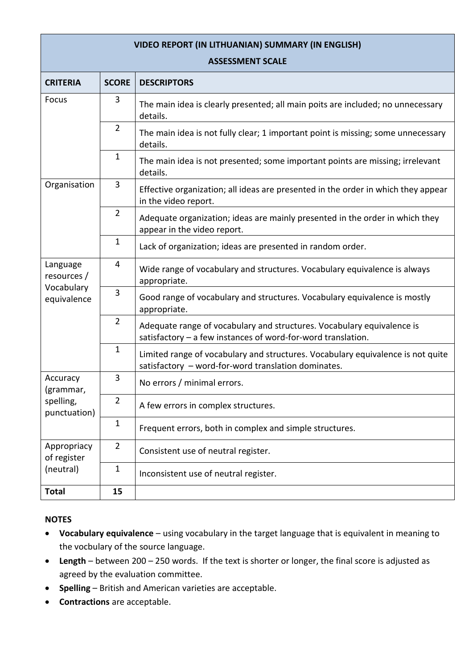| <b>VIDEO REPORT (IN LITHUANIAN) SUMMARY (IN ENGLISH)</b><br><b>ASSESSMENT SCALE</b> |                |                                                                                                                                        |  |  |  |
|-------------------------------------------------------------------------------------|----------------|----------------------------------------------------------------------------------------------------------------------------------------|--|--|--|
| <b>CRITERIA</b>                                                                     | <b>SCORE</b>   | <b>DESCRIPTORS</b>                                                                                                                     |  |  |  |
| Focus                                                                               | 3              | The main idea is clearly presented; all main poits are included; no unnecessary<br>details.                                            |  |  |  |
|                                                                                     | $\overline{2}$ | The main idea is not fully clear; 1 important point is missing; some unnecessary<br>details.                                           |  |  |  |
|                                                                                     | $\mathbf{1}$   | The main idea is not presented; some important points are missing; irrelevant<br>details.                                              |  |  |  |
| Organisation                                                                        | 3              | Effective organization; all ideas are presented in the order in which they appear<br>in the video report.                              |  |  |  |
|                                                                                     | $\overline{2}$ | Adequate organization; ideas are mainly presented in the order in which they<br>appear in the video report.                            |  |  |  |
|                                                                                     | $\mathbf{1}$   | Lack of organization; ideas are presented in random order.                                                                             |  |  |  |
| Language<br>resources /                                                             | $\overline{4}$ | Wide range of vocabulary and structures. Vocabulary equivalence is always<br>appropriate.                                              |  |  |  |
| Vocabulary<br>equivalence                                                           | 3              | Good range of vocabulary and structures. Vocabulary equivalence is mostly<br>appropriate.                                              |  |  |  |
|                                                                                     | $\overline{2}$ | Adequate range of vocabulary and structures. Vocabulary equivalence is<br>satisfactory - a few instances of word-for-word translation. |  |  |  |
|                                                                                     | $\mathbf{1}$   | Limited range of vocabulary and structures. Vocabulary equivalence is not quite<br>satisfactory - word-for-word translation dominates. |  |  |  |
| Accuracy<br>(grammar,                                                               | 3              | No errors / minimal errors.                                                                                                            |  |  |  |
| spelling,<br>punctuation)                                                           | $\overline{2}$ | A few errors in complex structures.                                                                                                    |  |  |  |
|                                                                                     | $\mathbf{1}$   | Frequent errors, both in complex and simple structures.                                                                                |  |  |  |
| Appropriacy<br>of register                                                          | $\overline{2}$ | Consistent use of neutral register.                                                                                                    |  |  |  |
| (neutral)                                                                           | $\mathbf{1}$   | Inconsistent use of neutral register.                                                                                                  |  |  |  |
| <b>Total</b>                                                                        | 15             |                                                                                                                                        |  |  |  |

# **NOTES**

- **Vocabulary equivalence** using vocabulary in the target language that is equivalent in meaning to the vocbulary of the source language.
- **Length** between 200 250 words. If the text is shorter or longer, the final score is adjusted as agreed by the evaluation committee.
- **Spelling**  British and American varieties are acceptable.
- **•** Contractions are acceptable.